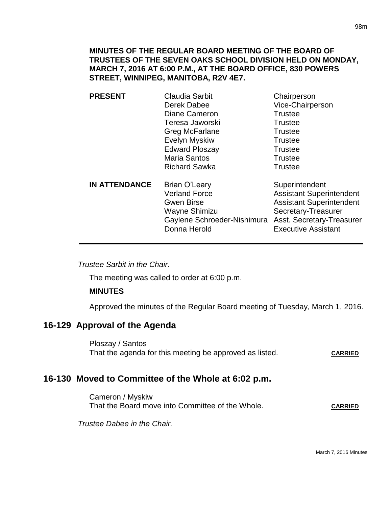### **MINUTES OF THE REGULAR BOARD MEETING OF THE BOARD OF TRUSTEES OF THE SEVEN OAKS SCHOOL DIVISION HELD ON MONDAY, MARCH 7, 2016 AT 6:00 P.M., AT THE BOARD OFFICE, 830 POWERS STREET, WINNIPEG, MANITOBA, R2V 4E7.**

| <b>Claudia Sarbit</b><br>Derek Dabee                                                                                       | Chairperson<br>Vice-Chairperson                                                                                                                                        |
|----------------------------------------------------------------------------------------------------------------------------|------------------------------------------------------------------------------------------------------------------------------------------------------------------------|
|                                                                                                                            | <b>Trustee</b><br><b>Trustee</b>                                                                                                                                       |
| Greg McFarlane                                                                                                             | <b>Trustee</b>                                                                                                                                                         |
| <b>Evelyn Myskiw</b>                                                                                                       | <b>Trustee</b>                                                                                                                                                         |
| <b>Edward Ploszay</b>                                                                                                      | <b>Trustee</b>                                                                                                                                                         |
| <b>Maria Santos</b>                                                                                                        | <b>Trustee</b>                                                                                                                                                         |
| <b>Richard Sawka</b>                                                                                                       | <b>Trustee</b>                                                                                                                                                         |
| Brian O'Leary<br><b>Verland Force</b><br><b>Gwen Birse</b><br>Wayne Shimizu<br>Gaylene Schroeder-Nishimura<br>Donna Herold | Superintendent<br><b>Assistant Superintendent</b><br><b>Assistant Superintendent</b><br>Secretary-Treasurer<br>Asst. Secretary-Treasurer<br><b>Executive Assistant</b> |
|                                                                                                                            | Diane Cameron<br>Teresa Jaworski                                                                                                                                       |

*Trustee Sarbit in the Chair.* 

The meeting was called to order at 6:00 p.m.

#### **MINUTES**

Approved the minutes of the Regular Board meeting of Tuesday, March 1, 2016.

## **16-129 Approval of the Agenda**

Ploszay / Santos That the agenda for this meeting be approved as listed. CARRIED

## **16-130 Moved to Committee of the Whole at 6:02 p.m.**

Cameron / Myskiw That the Board move into Committee of the Whole. CARRIED

*Trustee Dabee in the Chair.*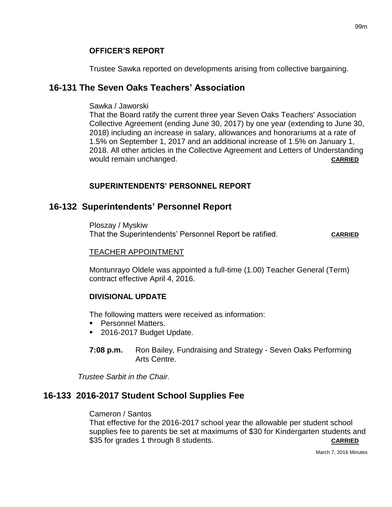Trustee Sawka reported on developments arising from collective bargaining.

# **16-131 The Seven Oaks Teachers' Association**

## Sawka / Jaworski

That the Board ratify the current three year Seven Oaks Teachers' Association Collective Agreement (ending June 30, 2017) by one year (extending to June 30, 2018) including an increase in salary, allowances and honorariums at a rate of 1.5% on September 1, 2017 and an additional increase of 1.5% on January 1, 2018. All other articles in the Collective Agreement and Letters of Understanding would remain unchanged. **CARRIED CARRIED** 

## **SUPERINTENDENTS' PERSONNEL REPORT**

# **16-132 Superintendents' Personnel Report**

Ploszay / Myskiw That the Superintendents' Personnel Report be ratified. **CARRIED**

## TEACHER APPOINTMENT

Montunrayo Oldele was appointed a full-time (1.00) Teacher General (Term) contract effective April 4, 2016.

# **DIVISIONAL UPDATE**

The following matters were received as information:

- **Personnel Matters.**
- 2016-2017 Budget Update.
- **7:08 p.m.** Ron Bailey, Fundraising and Strategy Seven Oaks Performing Arts Centre.

*Trustee Sarbit in the Chair.*

# **16-133 2016-2017 Student School Supplies Fee**

# Cameron / Santos

That effective for the 2016-2017 school year the allowable per student school supplies fee to parents be set at maximums of \$30 for Kindergarten students and \$35 for grades 1 through 8 students. **CARRIED**

March 7, 2016 Minutes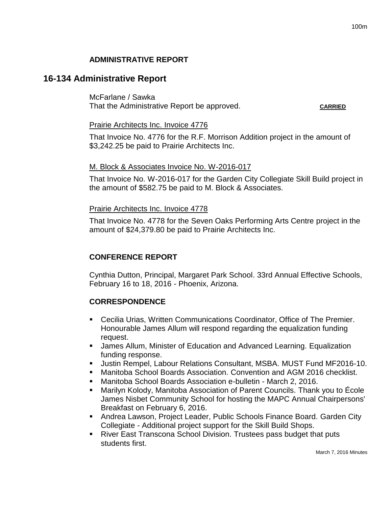## **ADMINISTRATIVE REPORT**

### **16-134 Administrative Report**

McFarlane / Sawka That the Administrative Report be approved. **CARRIED**

### Prairie Architects Inc. Invoice 4776

That Invoice No. 4776 for the R.F. Morrison Addition project in the amount of \$3,242.25 be paid to Prairie Architects Inc.

### M. Block & Associates Invoice No. W-2016-017

That Invoice No. W-2016-017 for the Garden City Collegiate Skill Build project in the amount of \$582.75 be paid to M. Block & Associates.

### Prairie Architects Inc. Invoice 4778

That Invoice No. 4778 for the Seven Oaks Performing Arts Centre project in the amount of \$24,379.80 be paid to Prairie Architects Inc.

### **CONFERENCE REPORT**

Cynthia Dutton, Principal, Margaret Park School. 33rd Annual Effective Schools, February 16 to 18, 2016 - Phoenix, Arizona.

### **CORRESPONDENCE**

- Cecilia Urias, Written Communications Coordinator, Office of The Premier. Honourable James Allum will respond regarding the equalization funding request.
- James Allum, Minister of Education and Advanced Learning. Equalization funding response.
- Justin Rempel, Labour Relations Consultant, MSBA. MUST Fund MF2016-10.
- Manitoba School Boards Association. Convention and AGM 2016 checklist.
- Manitoba School Boards Association e-bulletin March 2, 2016.
- Marilyn Kolody, Manitoba Association of Parent Councils. Thank you to École James Nisbet Community School for hosting the MAPC Annual Chairpersons' Breakfast on February 6, 2016.
- Andrea Lawson, Project Leader, Public Schools Finance Board. Garden City Collegiate - Additional project support for the Skill Build Shops.
- River East Transcona School Division. Trustees pass budget that puts students first.